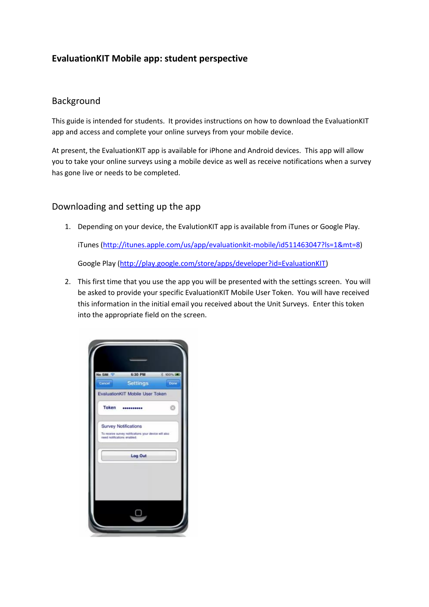## **EvaluationKIT Mobile app: student perspective**

## Background

This guide is intended for students. It provides instructions on how to download the EvaluationKIT app and access and complete your online surveys from your mobile device.

At present, the EvaluationKIT app is available for iPhone and Android devices. This app will allow you to take your online surveys using a mobile device as well as receive notifications when a survey has gone live or needs to be completed.

## Downloading and setting up the app

1. Depending on your device, the EvalutionKIT app is available from iTunes or Google Play.

iTunes [\(http://itunes.apple.com/us/app/evaluationkit-mobile/id511463047?ls=1&mt=8\)](http://itunes.apple.com/us/app/evaluationkit-mobile/id511463047?ls=1&mt=8)

Google Play [\(http://play.google.com/store/apps/developer?id=EvaluationKIT\)](http://play.google.com/store/apps/developer?id=EvaluationKIT)

2. This first time that you use the app you will be presented with the settings screen. You will be asked to provide your specific EvaluationKIT Mobile User Token. You will have received this information in the initial email you received about the Unit Surveys. Enter this token into the appropriate field on the screen.

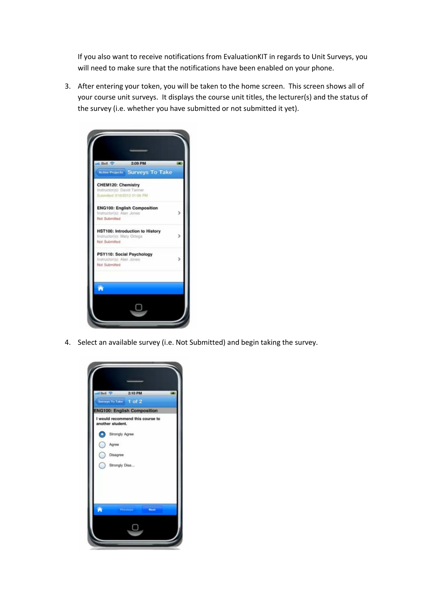If you also want to receive notifications from EvaluationKIT in regards to Unit Surveys, you will need to make sure that the notifications have been enabled on your phone.

3. After entering your token, you will be taken to the home screen. This screen shows all of your course unit surveys. It displays the course unit titles, the lecturer(s) and the status of the survey (i.e. whether you have submitted or not submitted it yet).



4. Select an available survey (i.e. Not Submitted) and begin taking the survey.